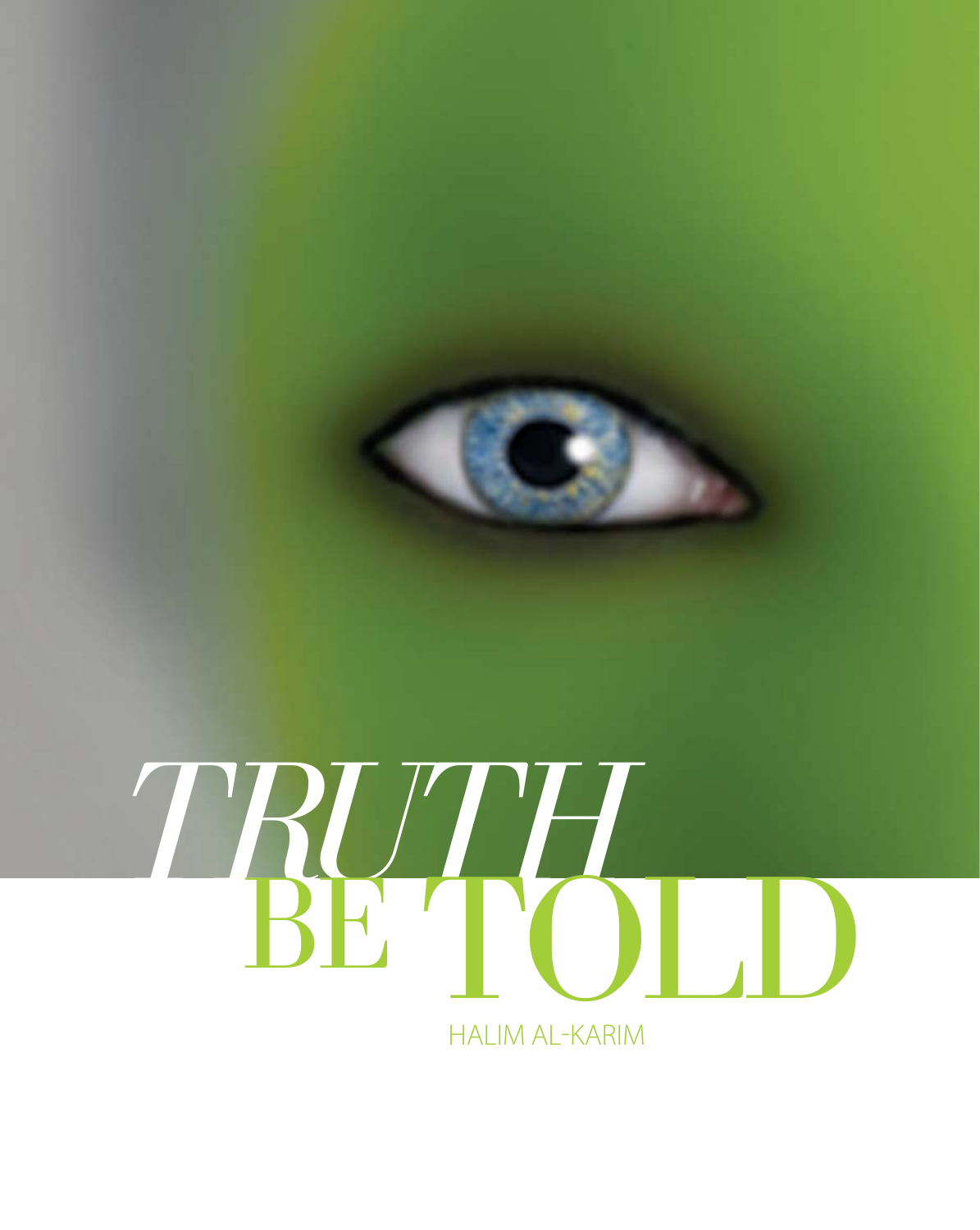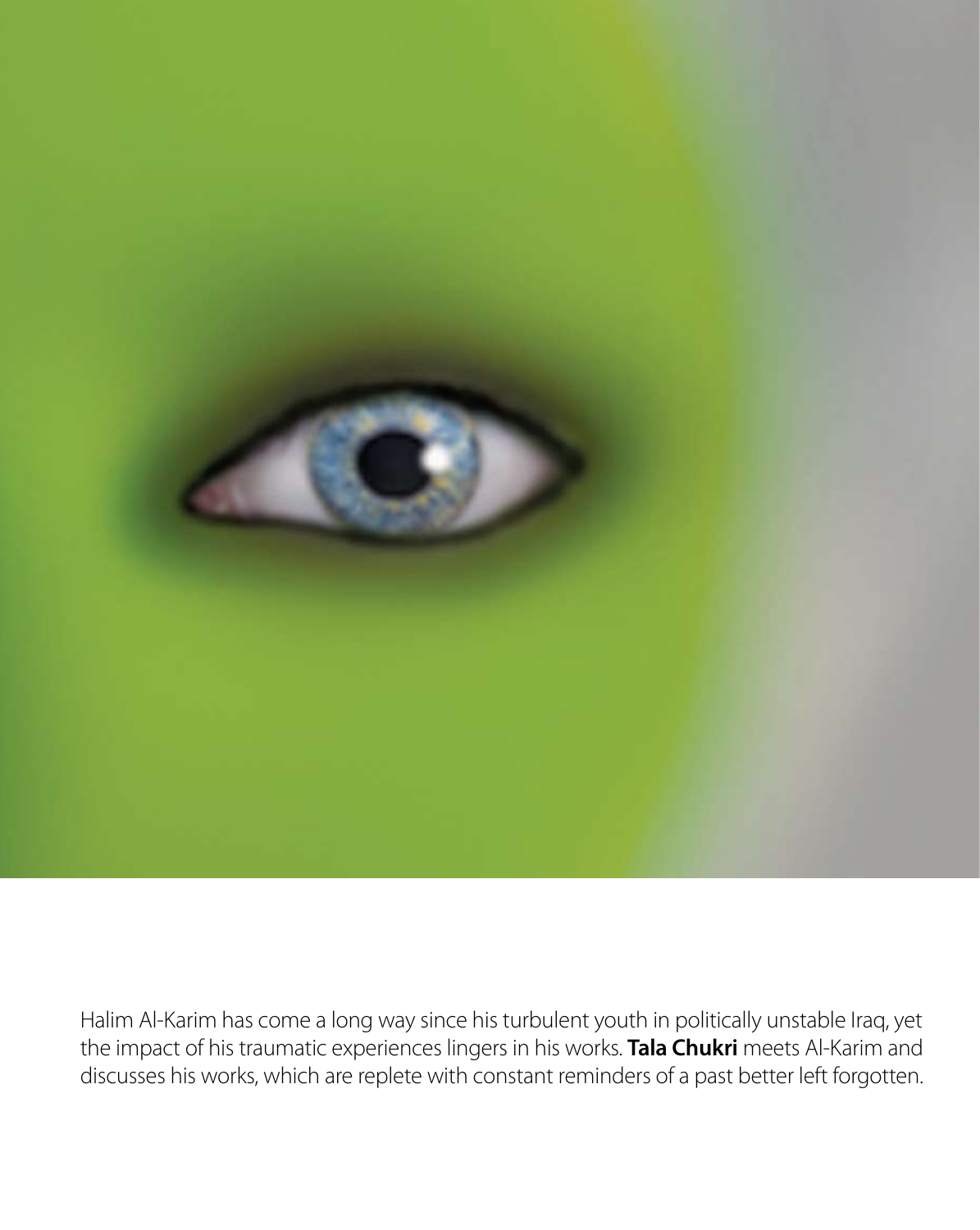

Halim Al-Karim has come a long way since his turbulent youth in politically unstable Iraq, yet the impact of his traumatic experiences lingers in his works. **Tala Chukri** meets Al-Karim and discusses his works, which are replete with constant reminders of a past better left forgotten.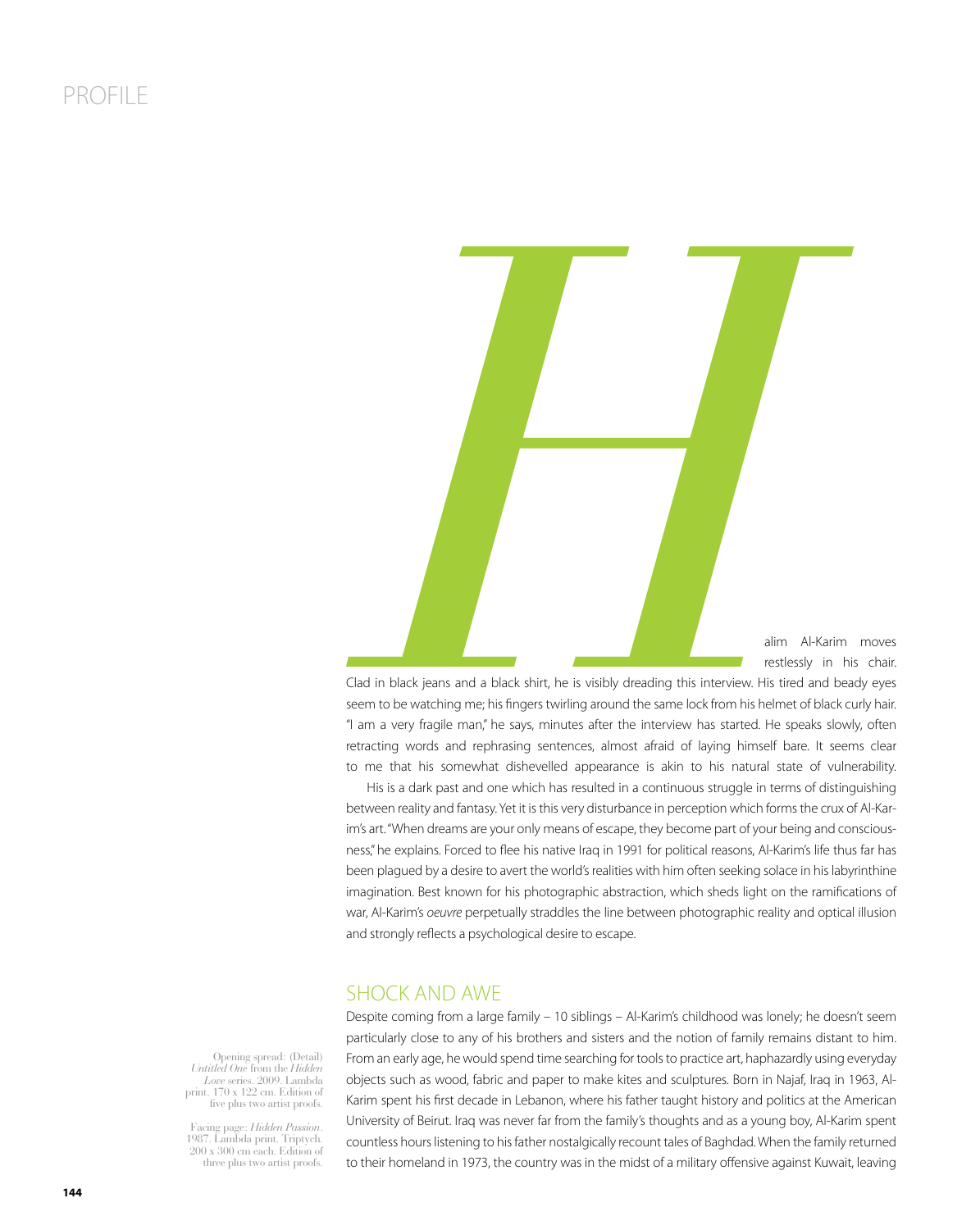

Clad in black jeans and a black shirt, he is visibly dreading this interview. His tired and beady eyes seem to be watching me; his fingers twirling around the same lock from his helmet of black curly hair. "I am a very fragile man," he says, minutes after the interview has started. He speaks slowly, often retracting words and rephrasing sentences, almost afraid of laying himself bare. It seems clear to me that his somewhat dishevelled appearance is akin to his natural state of vulnerability.

His is a dark past and one which has resulted in a continuous struggle in terms of distinguishing between reality and fantasy. Yet it is this very disturbance in perception which forms the crux of Al-Karim's art. "When dreams are your only means of escape, they become part of your being and consciousness," he explains. Forced to flee his native Iraq in 1991 for political reasons, Al-Karim's life thus far has been plagued by a desire to avert the world's realities with him often seeking solace in his labyrinthine imagination. Best known for his photographic abstraction, which sheds light on the ramifications of war, Al-Karim's oeuvre perpetually straddles the line between photographic reality and optical illusion and strongly reflects a psychological desire to escape.

## SHOCK AND AWE

Opening spread: (Detail) *Untitled One* from the *Hidden Love* series. 2009. Lambda print. 170 x 122 cm. Edition of five plus two artist proofs.

Facing page: *Hidden Passion*. 1987. Lambda print. Triptych. 200 x 300 cm each. Edition of three plus two artist proofs.

Despite coming from a large family – 10 siblings – Al-Karim's childhood was lonely; he doesn't seem particularly close to any of his brothers and sisters and the notion of family remains distant to him. From an early age, he would spend time searching for tools to practice art, haphazardly using everyday objects such as wood, fabric and paper to make kites and sculptures. Born in Najaf, Iraq in 1963, Al-Karim spent his first decade in Lebanon, where his father taught history and politics at the American University of Beirut. Iraq was never far from the family's thoughts and as a young boy, Al-Karim spent countless hours listening to his father nostalgically recount tales of Baghdad. When the family returned to their homeland in 1973, the country was in the midst of a military offensive against Kuwait, leaving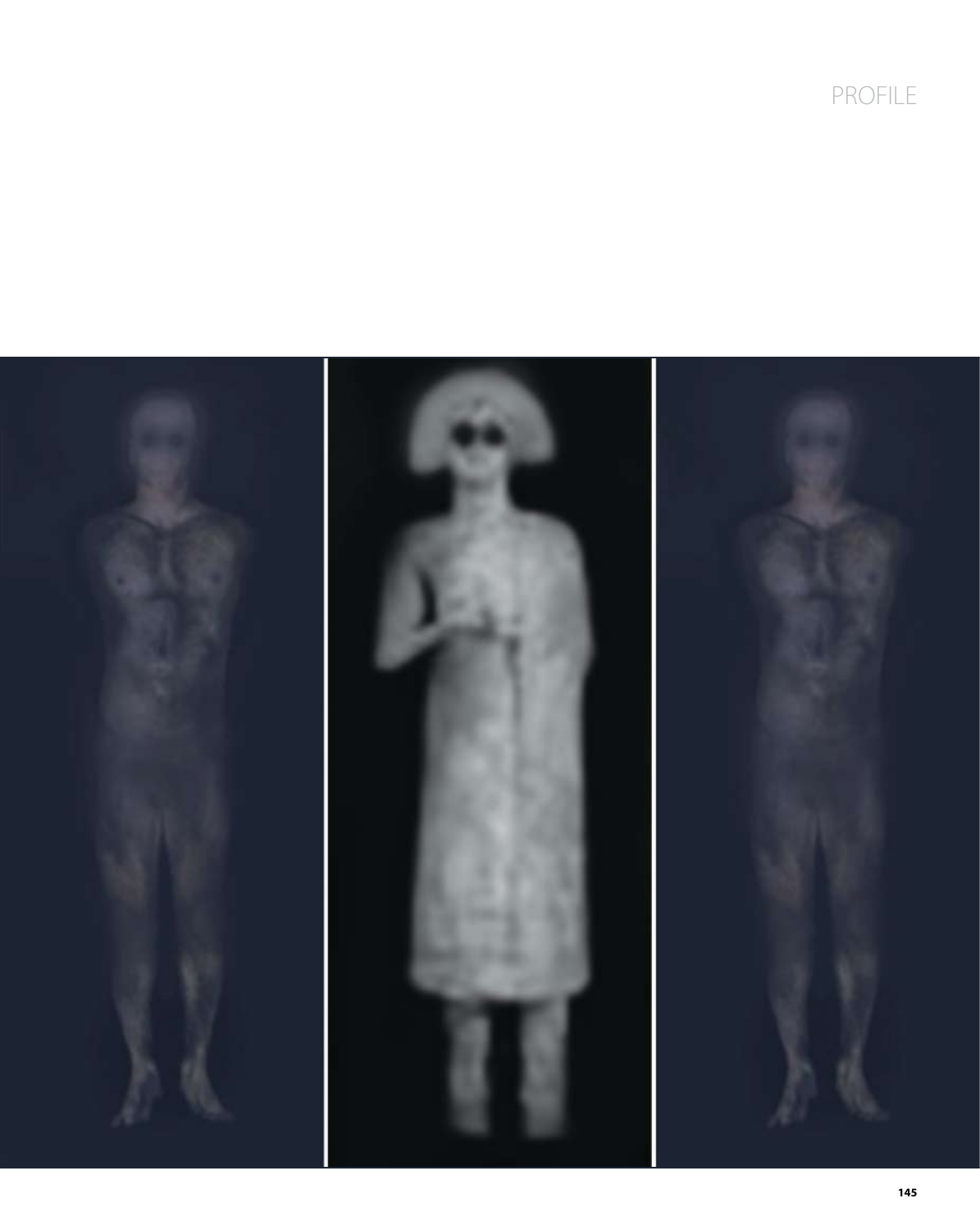PROFILE

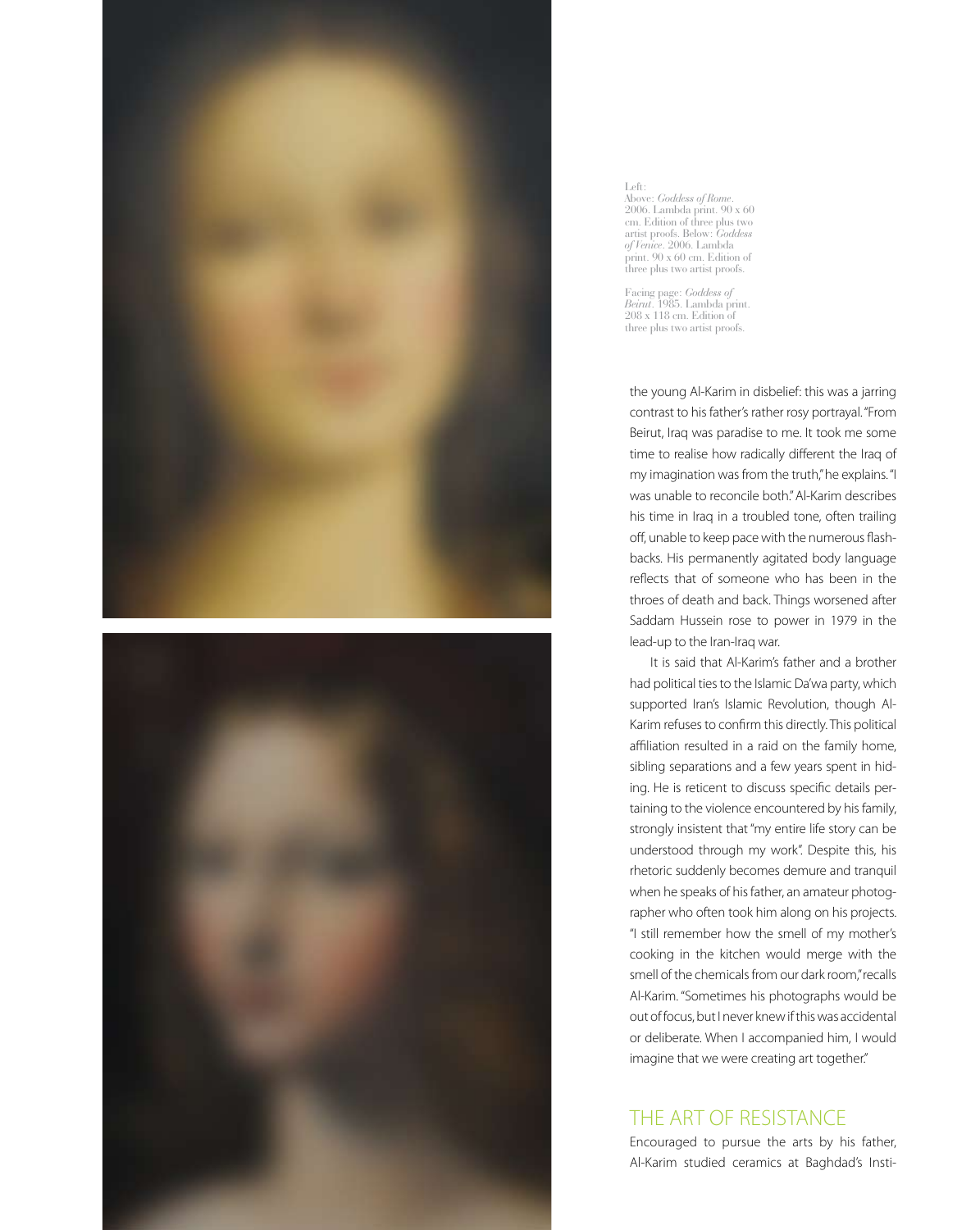



#### Left: Above: *Goddess of Rome*. 2006. Lambda print. 90 x 60 cm. Edition of three plus two artist proofs. Below: *Goddess of Venice*. 2006. Lambda print. 90 x 60 cm. Edition of three plus two artist proofs.

Facing page: *Goddess of Beirut*. 1985. Lambda print. 208 x 118 cm. Edition of three plus two artist proofs.

the young Al-Karim in disbelief: this was a jarring contrast to his father's rather rosy portrayal. "From Beirut, Iraq was paradise to me. It took me some time to realise how radically different the Iraq of my imagination was from the truth," he explains. "I was unable to reconcile both." Al-Karim describes his time in Iraq in a troubled tone, often trailing off, unable to keep pace with the numerous flashbacks. His permanently agitated body language reflects that of someone who has been in the throes of death and back. Things worsened after Saddam Hussein rose to power in 1979 in the lead-up to the Iran-Iraq war.

It is said that Al-Karim's father and a brother had political ties to the Islamic Da'wa party, which supported Iran's Islamic Revolution, though Al-Karim refuses to confirm this directly. This political affiliation resulted in a raid on the family home, sibling separations and a few years spent in hiding. He is reticent to discuss specific details pertaining to the violence encountered by his family, strongly insistent that "my entire life story can be understood through my work". Despite this, his rhetoric suddenly becomes demure and tranquil when he speaks of his father, an amateur photographer who often took him along on his projects. "I still remember how the smell of my mother's cooking in the kitchen would merge with the smell of the chemicals from our dark room," recalls Al-Karim. "Sometimes his photographs would be out of focus, but I never knew if this was accidental or deliberate. When I accompanied him, I would imagine that we were creating art together."

# THE ART OF RESISTANCE

Encouraged to pursue the arts by his father, Al-Karim studied ceramics at Baghdad's Insti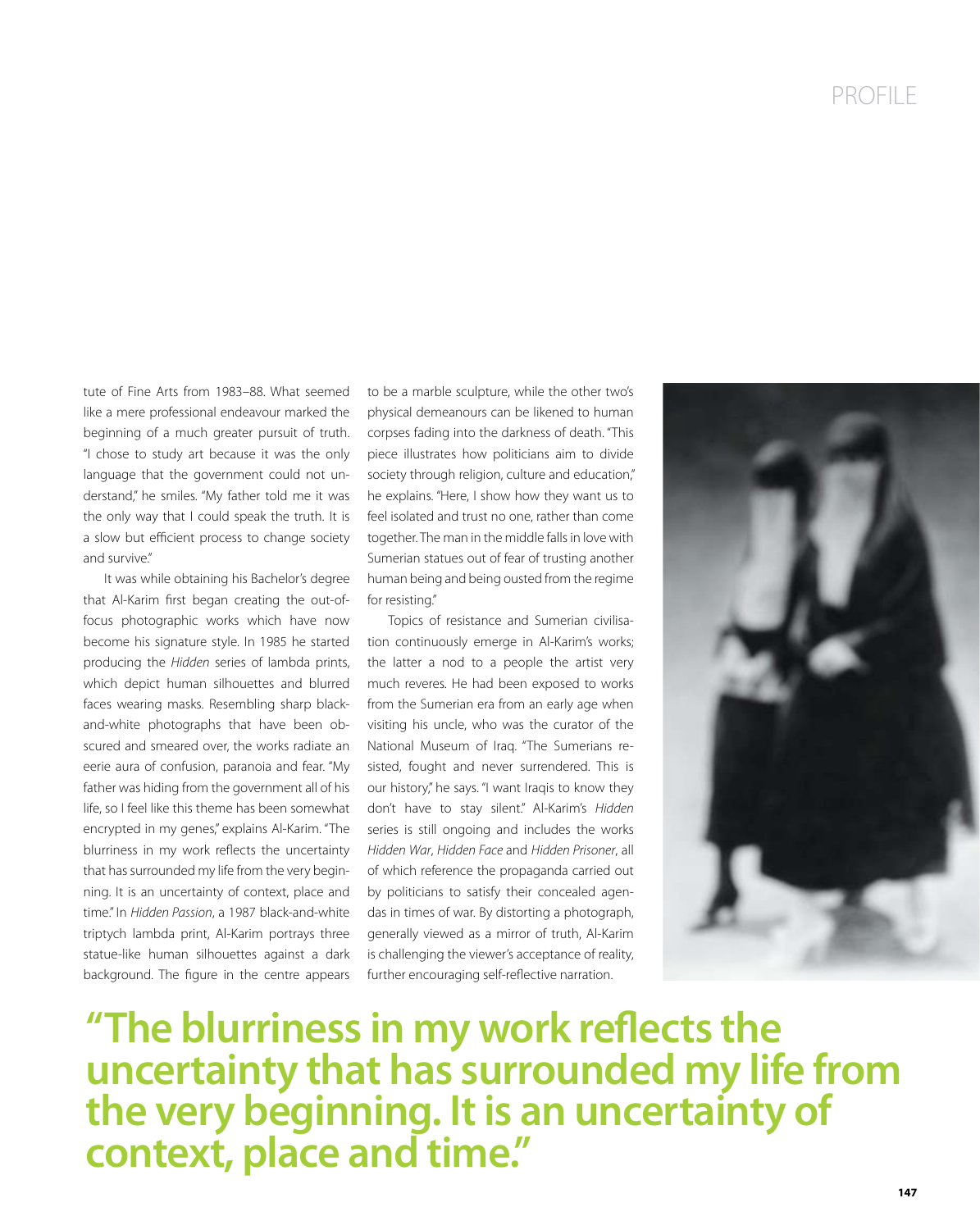tute of Fine Arts from 1983–88. What seemed like a mere professional endeavour marked the beginning of a much greater pursuit of truth. "I chose to study art because it was the only language that the government could not understand," he smiles. "My father told me it was the only way that I could speak the truth. It is a slow but efficient process to change society and survive."

It was while obtaining his Bachelor's degree that Al-Karim first began creating the out-offocus photographic works which have now become his signature style. In 1985 he started producing the Hidden series of lambda prints, which depict human silhouettes and blurred faces wearing masks. Resembling sharp blackand-white photographs that have been obscured and smeared over, the works radiate an eerie aura of confusion, paranoia and fear. "My father was hiding from the government all of his life, so I feel like this theme has been somewhat encrypted in my genes," explains Al-Karim. "The blurriness in my work reflects the uncertainty that has surrounded my life from the very beginning. It is an uncertainty of context, place and time." In Hidden Passion, a 1987 black-and-white triptych lambda print, Al-Karim portrays three statue-like human silhouettes against a dark background. The figure in the centre appears to be a marble sculpture, while the other two's physical demeanours can be likened to human corpses fading into the darkness of death. "This piece illustrates how politicians aim to divide society through religion, culture and education," he explains. "Here, I show how they want us to feel isolated and trust no one, rather than come together. The man in the middle falls in love with Sumerian statues out of fear of trusting another human being and being ousted from the regime for resisting."

Topics of resistance and Sumerian civilisation continuously emerge in Al-Karim's works; the latter a nod to a people the artist very much reveres. He had been exposed to works from the Sumerian era from an early age when visiting his uncle, who was the curator of the National Museum of Iraq. "The Sumerians resisted, fought and never surrendered. This is our history," he says. "I want Iraqis to know they don't have to stay silent." Al-Karim's Hidden series is still ongoing and includes the works Hidden War, Hidden Face and Hidden Prisoner, all of which reference the propaganda carried out by politicians to satisfy their concealed agendas in times of war. By distorting a photograph, generally viewed as a mirror of truth, Al-Karim is challenging the viewer's acceptance of reality, further encouraging self-reflective narration.



"The blurriness in my work reflects the **uncertainty that has surrounded my life from the very beginning. It is an uncertainty of context, place and time."**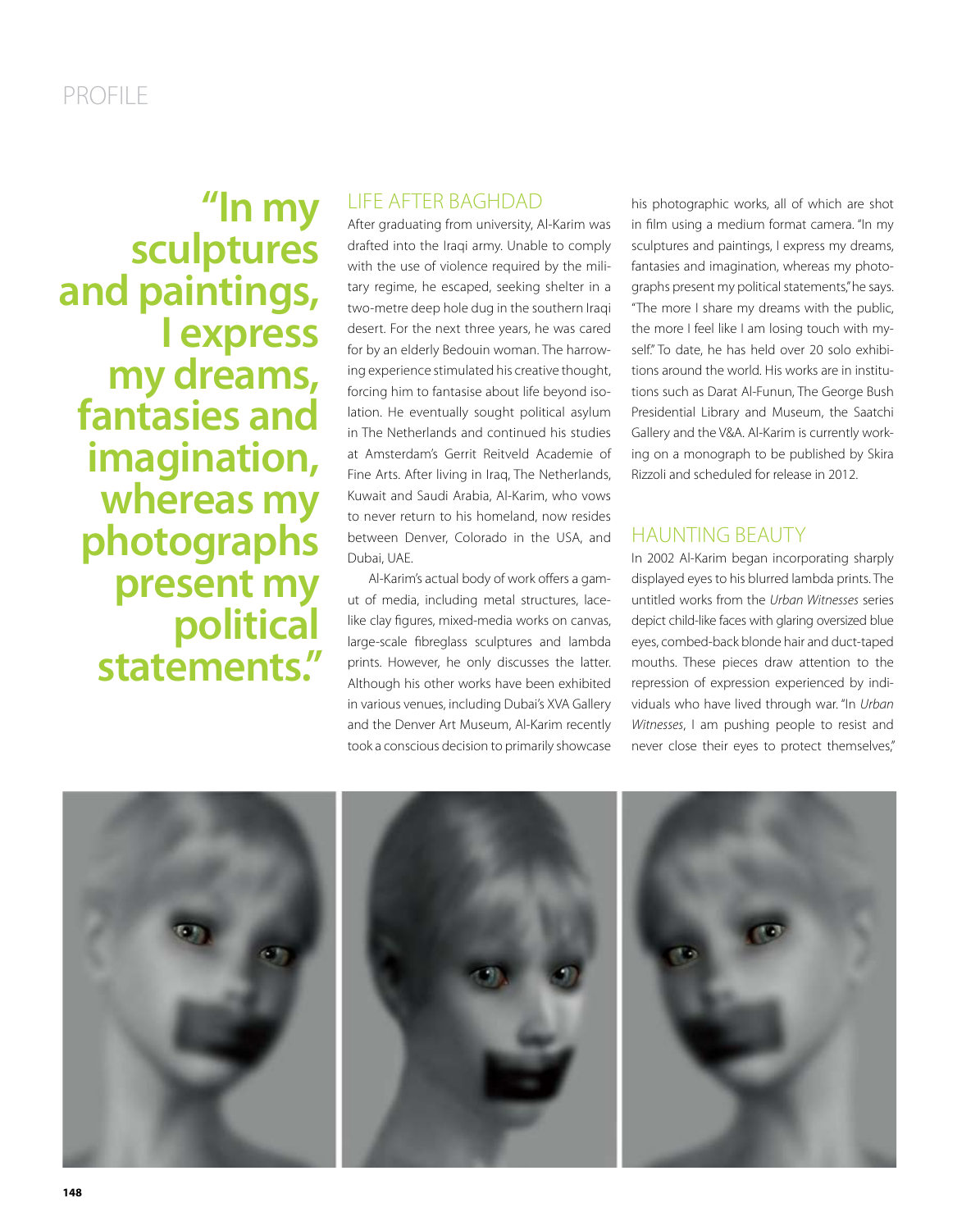**"In my sculptures and paintings, I express my dreams, fantasies and imagination, whereas my photographs present my political statements."**

### LIFE AFTER BAGHDAD

After graduating from university, Al-Karim was drafted into the Iraqi army. Unable to comply with the use of violence required by the military regime, he escaped, seeking shelter in a two-metre deep hole dug in the southern Iraqi desert. For the next three years, he was cared for by an elderly Bedouin woman. The harrowing experience stimulated his creative thought, forcing him to fantasise about life beyond isolation. He eventually sought political asylum in The Netherlands and continued his studies at Amsterdam's Gerrit Reitveld Academie of Fine Arts. After living in Iraq, The Netherlands, Kuwait and Saudi Arabia, Al-Karim, who vows to never return to his homeland, now resides between Denver, Colorado in the USA, and Dubai, UAE.

Al-Karim's actual body of work offers a gamut of media, including metal structures, lacelike clay figures, mixed-media works on canvas, large-scale fibreglass sculptures and lambda prints. However, he only discusses the latter. Although his other works have been exhibited in various venues, including Dubai's XVA Gallery and the Denver Art Museum, Al-Karim recently took a conscious decision to primarily showcase

his photographic works, all of which are shot in film using a medium format camera. "In my sculptures and paintings, I express my dreams, fantasies and imagination, whereas my photographs present my political statements," he says. "The more I share my dreams with the public, the more I feel like I am losing touch with myself." To date, he has held over 20 solo exhibitions around the world. His works are in institutions such as Darat Al-Funun, The George Bush Presidential Library and Museum, the Saatchi Gallery and the V&A. Al-Karim is currently working on a monograph to be published by Skira Rizzoli and scheduled for release in 2012.

## HAUNTING BEAUTY

In 2002 Al-Karim began incorporating sharply displayed eyes to his blurred lambda prints. The untitled works from the Urban Witnesses series depict child-like faces with glaring oversized blue eyes, combed-back blonde hair and duct-taped mouths. These pieces draw attention to the repression of expression experienced by individuals who have lived through war. "In Urban Witnesses, I am pushing people to resist and never close their eyes to protect themselves,"